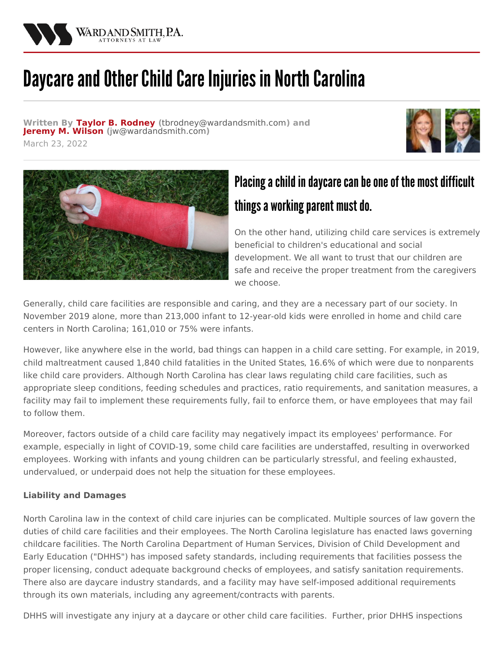

## Daycare and Other Child Care Injuries in North Carolina

**Written By Taylor B. [Rodney](/attorneys/taylor-rodney) (**[tbrodney@wardandsmith.com](mailto:tbrodney@wardandsmith.com)**) and [Jeremy](/attorneys/jeremy-wilson) M. Wilson (**[jw@wardandsmith.com](mailto:jw@wardandsmith.com)**)**







## Placing a child in daycare can be one of the most difficult things a working parent must do.

On the other hand, utilizing child care services is extremely beneficial to children's educational and social development. We all want to trust that our children are safe and receive the proper treatment from the caregivers we choose.

Generally, child care facilities are responsible and caring, and they are a necessary part of our society. In November 2019 alone, more than 213,000 infant to [12-year-old](https://ncchildcare.ncdhhs.gov/Portals/0/documents/pdf/S/statistical_detail_report_november_2021.pdf?ver=WKjPb9KJAJaPNnCvVgvsIQ%3d%3d) kids were enrolled in home and child care centers in North Carolina; 161,010 or 75% were infants.

However, like anywhere else in the world, bad things can happen in a child care setting. For example, in 2019, child maltreatment caused 1,840 child [fatalities](https://www.childwelfare.gov/pubpdfs/fatality.pdf) in the United States, 16.6% of which were due to nonparents like child care providers. Although North Carolina has clear laws regulating child care facilities, such as appropriate sleep conditions, feeding schedules and practices, ratio requirements, and sanitation measures, a facility may fail to implement these requirements fully, fail to enforce them, or have employees that may fail to follow them.

Moreover, factors outside of a child care facility may negatively impact its employees' performance. For example, especially in light of COVID-19, some child care facilities are understaffed, resulting in overworked employees. Working with infants and young children can be particularly stressful, and feeling exhausted, undervalued, or underpaid does not help the situation for these employees.

## **Liability and Damages**

North Carolina law in the context of child care injuries can be complicated. Multiple sources of law govern the duties of child care facilities and their employees. The North Carolina legislature has enacted laws governing childcare facilities. The North Carolina Department of Human Services, Division of Child Development and Early Education ("DHHS") has imposed safety standards, including requirements that facilities possess the proper licensing, conduct adequate background checks of employees, and satisfy sanitation requirements. There also are daycare industry standards, and a facility may have self-imposed additional requirements through its own materials, including any agreement/contracts with parents.

DHHS will investigate any injury at a daycare or other child care facilities. Further, prior DHHS inspections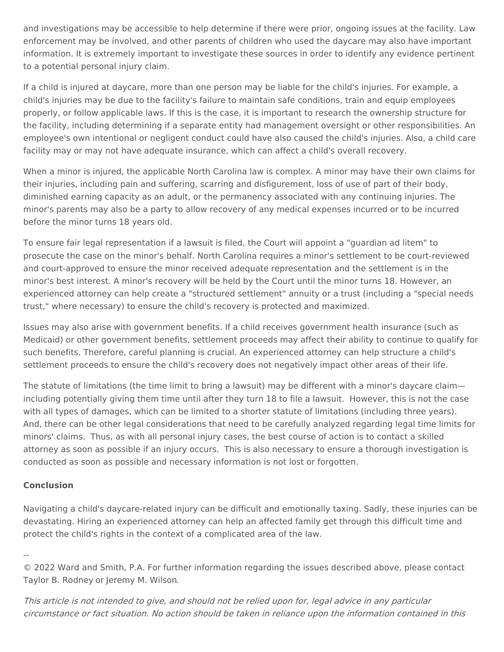and investigations may be accessible to help determine if there were prior, ongoing issues at the facility. Law enforcement may be involved, and other parents of children who used the daycare may also have important information. It is extremely important to investigate these sources in order to identify any evidence pertinent to a potential personal injury claim.

If a child is injured at daycare, more than one person may be liable for the child's injuries. For example, a child's injuries may be due to the facility's failure to maintain safe conditions, train and equip employees properly, or follow applicable laws. If this is the case, it is important to research the ownership structure for the facility, including determining if a separate entity had management oversight or other responsibilities. An employee's own intentional or negligent conduct could have also caused the child's injuries. Also, a child care facility may or may not have adequate insurance, which can affect a child's overall recovery.

When a minor is injured, the applicable North Carolina law is complex. A minor may have their own claims for their injuries, including pain and suffering, scarring and disfigurement, loss of use of part of their body, diminished earning capacity as an adult, or the permanency associated with any continuing injuries. The minor's parents may also be a party to allow recovery of any medical expenses incurred or to be incurred before the minor turns 18 years old.

To ensure fair legal representation if a lawsuit is filed, the Court will appoint a "guardian ad litem" to prosecute the case on the minor's behalf. North Carolina requires a minor's settlement to be court-reviewed and court-approved to ensure the minor received adequate representation and the settlement is in the minor's best interest. A minor's recovery will be held by the Court until the minor turns 18. However, an experienced attorney can help create a "structured settlement" annuity or a trust (including a "special needs trust," where necessary) to ensure the child's recovery is protected and maximized.

Issues may also arise with government benefits. If a child receives government health insurance (such as Medicaid) or other government benefits, settlement proceeds may affect their ability to continue to qualify for such benefits. Therefore, careful planning is crucial. An experienced attorney can help structure a child's settlement proceeds to ensure the child's recovery does not negatively impact other areas of their life.

The statute of limitations (the time limit to bring a lawsuit) may be different with a minor's daycare claim including potentially giving them time until after they turn 18 to file a lawsuit. However, this is not the case with all types of damages, which can be limited to a shorter statute of limitations (including three years). And, there can be other legal considerations that need to be carefully analyzed regarding legal time limits for minors' claims. Thus, as with all personal injury cases, the best course of action is to contact a skilled attorney as soon as possible if an injury occurs. This is also necessary to ensure a thorough investigation is conducted as soon as possible and necessary information is not lost or forgotten.

## **Conclusion**

Navigating a child's daycare-related injury can be difficult and emotionally taxing. Sadly, these injuries can be devastating. Hiring an experienced attorney can help an affected family get through this difficult time and protect the child's rights in the context of a complicated area of the law.

--

© 2022 Ward and Smith, P.A. For further information regarding the issues described above, please contact Taylor B. [Rodney](/attorneys/taylor-rodney) or [Jeremy](/attorneys/jeremy-wilson) M. Wilson.

This article is not intended to give, and should not be relied upon for, legal advice in any particular circumstance or fact situation. No action should be taken in reliance upon the information contained in this